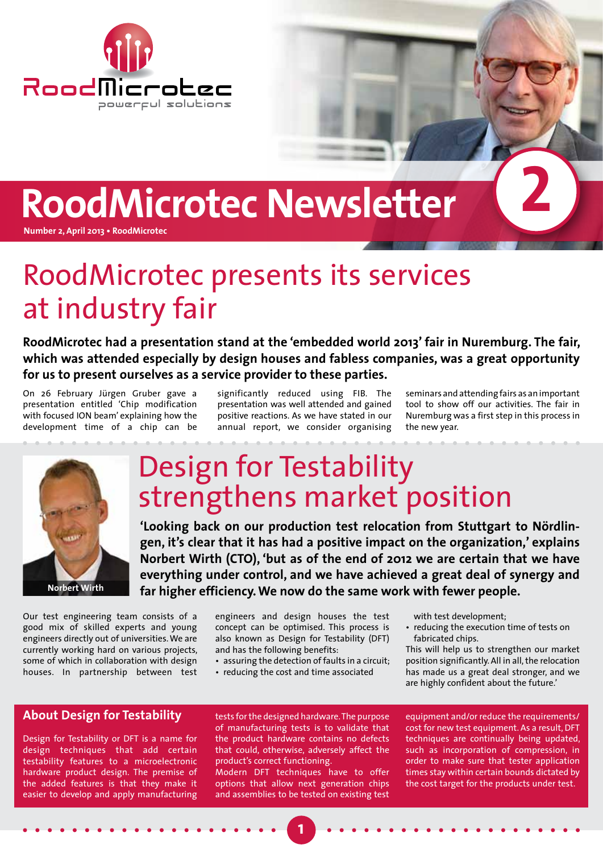

# **RoodMicrotec Newsletter**

**Number 2, April 2013 • RoodMicrotec**

## RoodMicrotec presents its services at industry fair

**RoodMicrotec had a presentation stand at the 'embedded world 2013' fair in Nuremburg. The fair, which was attended especially by design houses and fabless companies, was a great opportunity for us to present ourselves as a service provider to these parties.**

On 26 February Jürgen Gruber gave a presentation entitled 'Chip modification with focused ION beam' explaining how the development time of a chip can be

significantly reduced using FIB. The presentation was well attended and gained positive reactions. As we have stated in our annual report, we consider organising

seminars and attending fairs as an important tool to show off our activities. The fair in Nuremburg was a first step in this process in the new year.

**2**



### Design for Testability strengthens market position

**'Looking back on our production test relocation from Stuttgart to Nördlingen, it's clear that it has had a positive impact on the organization,' explains Norbert Wirth (CTO), 'but as of the end of 2012 we are certain that we have everything under control, and we have achieved a great deal of synergy and far higher efficiency. We now do the same work with fewer people.**

Our test engineering team consists of a good mix of skilled experts and young engineers directly out of universities. We are currently working hard on various projects, some of which in collaboration with design houses. In partnership between test

engineers and design houses the test concept can be optimised. This process is also known as Design for Testability (DFT) and has the following benefits:

• assuring the detection of faults in a circuit;

• reducing the cost and time associated

with test development;

• reducing the execution time of tests on fabricated chips.

This will help us to strengthen our market position significantly. All in all, the relocation has made us a great deal stronger, and we are highly confident about the future.'

### **About Design for Testability**

Design for Testability or DFT is a name for design techniques that add certain testability features to a microelectronic hardware product design. The premise of the added features is that they make it easier to develop and apply manufacturing

tests for the designed hardware. The purpose of manufacturing tests is to validate that the product hardware contains no defects that could, otherwise, adversely affect the product's correct functioning.

Modern DFT techniques have to offer options that allow next generation chips and assemblies to be tested on existing test

equipment and/or reduce the requirements/ cost for new test equipment. As a result, DFT techniques are continually being updated, such as incorporation of compression, in order to make sure that tester application times stay within certain bounds dictated by the cost target for the products under test.

**1**